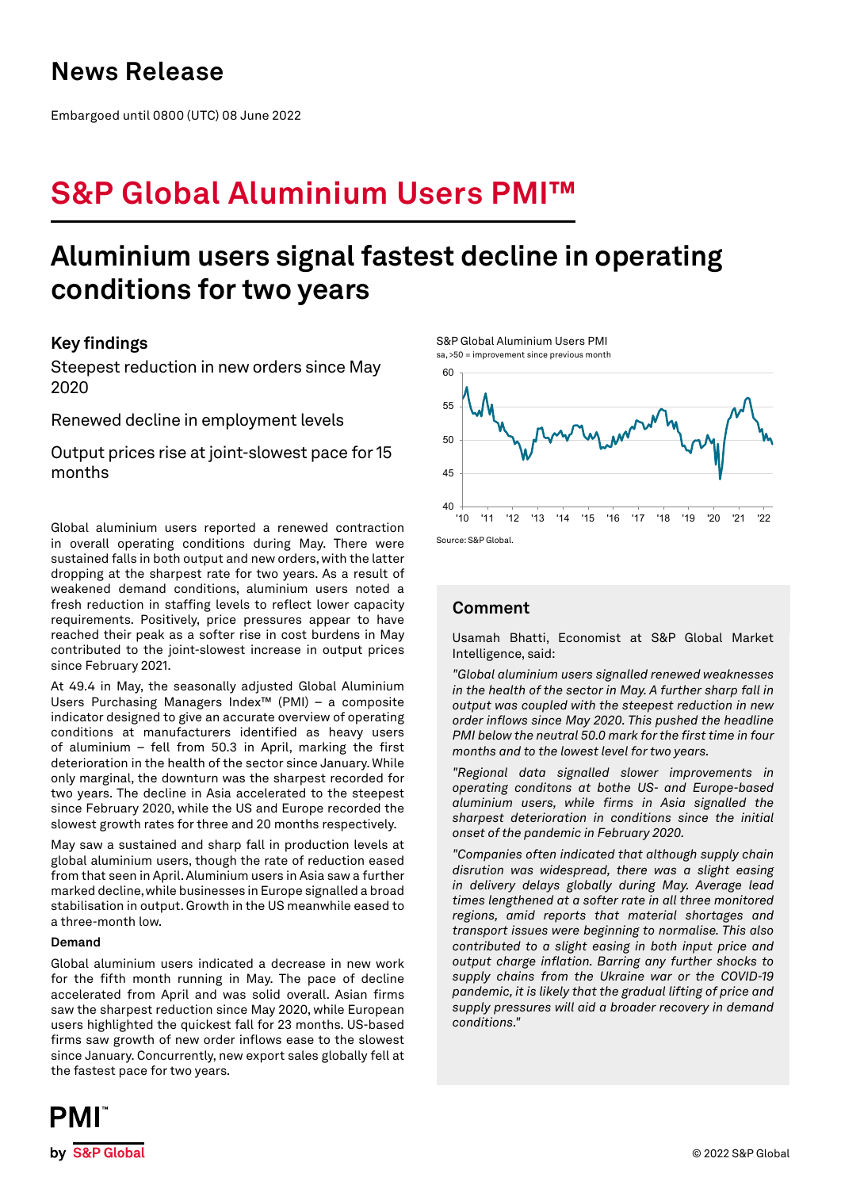# **News Release**

Embargoed until 0800 (UTC) 08 June 2022

# **S&P Global Aluminium Users PMI™**

# **Aluminium users signal fastest decline in operating conditions for two years**

## **Key findings**

Steepest reduction in new orders since May 2020

Renewed decline in employment levels

Output prices rise at joint-slowest pace for 15 months

Global aluminium users reported a renewed contraction in overall operating conditions during May. There were sustained falls in both output and new orders, with the latter dropping at the sharpest rate for two years. As a result of weakened demand conditions, aluminium users noted a fresh reduction in staffing levels to reflect lower capacity requirements. Positively, price pressures appear to have reached their peak as a softer rise in cost burdens in May contributed to the joint-slowest increase in output prices since February 2021.

At 49.4 in May, the seasonally adjusted Global Aluminium Users Purchasing Managers Index™ (PMI) – a composite indicator designed to give an accurate overview of operating conditions at manufacturers identified as heavy users of aluminium – fell from 50.3 in April, marking the first deterioration in the health of the sector since January. While only marginal, the downturn was the sharpest recorded for two years. The decline in Asia accelerated to the steepest since February 2020, while the US and Europe recorded the slowest growth rates for three and 20 months respectively.

May saw a sustained and sharp fall in production levels at global aluminium users, though the rate of reduction eased from that seen in April. Aluminium users in Asia saw a further marked decline, while businesses in Europe signalled a broad stabilisation in output. Growth in the US meanwhile eased to a three-month low.

## **Demand**

Global aluminium users indicated a decrease in new work for the fifth month running in May. The pace of decline accelerated from April and was solid overall. Asian firms saw the sharpest reduction since May 2020, while European users highlighted the quickest fall for 23 months. US-based firms saw growth of new order inflows ease to the slowest since January. Concurrently, new export sales globally fell at the fastest pace for two years.

S&P Global Aluminium Users PMI sa, >50 = improvement since previous month



# **Comment**

Usamah Bhatti, Economist at S&P Global Market Intelligence, said:

*"Global aluminium users signalled renewed weaknesses in the health of the sector in May. A further sharp fall in output was coupled with the steepest reduction in new order inflows since May 2020. This pushed the headline PMI below the neutral 50.0 mark for the first time in four months and to the lowest level for two years.* 

*"Regional data signalled slower improvements in operating conditons at bothe US- and Europe-based aluminium users, while firms in Asia signalled the sharpest deterioration in conditions since the initial onset of the pandemic in February 2020.*

*"Companies often indicated that although supply chain disrution was widespread, there was a slight easing in delivery delays globally during May. Average lead times lengthened at a softer rate in all three monitored regions, amid reports that material shortages and transport issues were beginning to normalise. This also contributed to a slight easing in both input price and output charge inflation. Barring any further shocks to supply chains from the Ukraine war or the COVID-19 pandemic, it is likely that the gradual lifting of price and supply pressures will aid a broader recovery in demand conditions."*